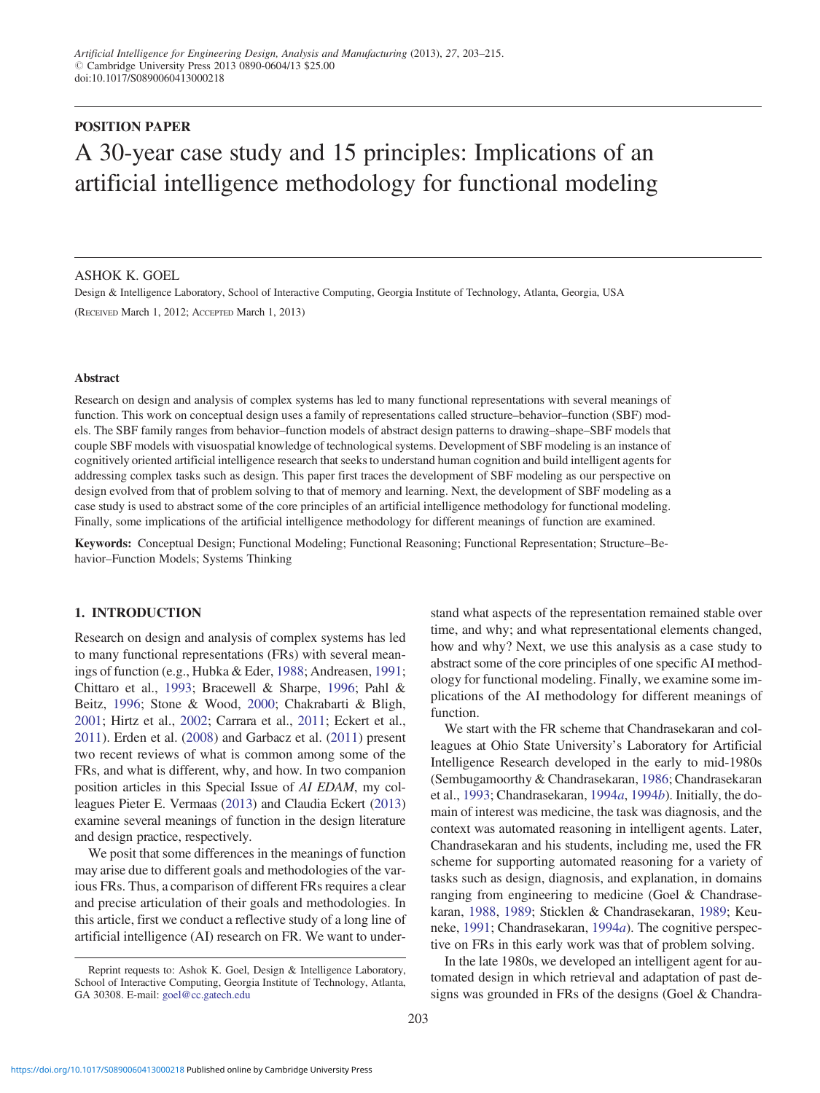# POSITION PAPER A 30-year case study and 15 principles: Implications of an artificial intelligence methodology for functional modeling

#### ASHOK K. GOEL

Design & Intelligence Laboratory, School of Interactive Computing, Georgia Institute of Technology, Atlanta, Georgia, USA (RECEIVED March 1, 2012; ACCEPTED March 1, 2013)

#### Abstract

Research on design and analysis of complex systems has led to many functional representations with several meanings of function. This work on conceptual design uses a family of representations called structure–behavior–function (SBF) models. The SBF family ranges from behavior–function models of abstract design patterns to drawing–shape–SBF models that couple SBF models with visuospatial knowledge of technological systems. Development of SBF modeling is an instance of cognitively oriented artificial intelligence research that seeks to understand human cognition and build intelligent agents for addressing complex tasks such as design. This paper first traces the development of SBF modeling as our perspective on design evolved from that of problem solving to that of memory and learning. Next, the development of SBF modeling as a case study is used to abstract some of the core principles of an artificial intelligence methodology for functional modeling. Finally, some implications of the artificial intelligence methodology for different meanings of function are examined.

Keywords: Conceptual Design; Functional Modeling; Functional Reasoning; Functional Representation; Structure–Behavior–Function Models; Systems Thinking

## 1. INTRODUCTION

Research on design and analysis of complex systems has led to many functional representations (FRs) with several meanings of function (e.g., Hubka & Eder, [1988](#page-11-0); Andreasen, [1991](#page-11-0); Chittaro et al., [1993](#page-11-0); Bracewell & Sharpe, [1996](#page-11-0); Pahl & Beitz, [1996;](#page-12-0) Stone & Wood, [2000](#page-12-0); Chakrabarti & Bligh, [2001](#page-11-0); Hirtz et al., [2002](#page-11-0); Carrara et al., [2011;](#page-11-0) Eckert et al., [2011](#page-11-0)). Erden et al. ([2008\)](#page-11-0) and Garbacz et al. ([2011\)](#page-11-0) present two recent reviews of what is common among some of the FRs, and what is different, why, and how. In two companion position articles in this Special Issue of AI EDAM, my colleagues Pieter E. Vermaas [\(2013\)](#page-12-0) and Claudia Eckert [\(2013\)](#page-11-0) examine several meanings of function in the design literature and design practice, respectively.

We posit that some differences in the meanings of function may arise due to different goals and methodologies of the various FRs. Thus, a comparison of different FRs requires a clear and precise articulation of their goals and methodologies. In this article, first we conduct a reflective study of a long line of artificial intelligence (AI) research on FR. We want to under-

203

stand what aspects of the representation remained stable over time, and why; and what representational elements changed, how and why? Next, we use this analysis as a case study to abstract some of the core principles of one specific AI methodology for functional modeling. Finally, we examine some implications of the AI methodology for different meanings of function.

We start with the FR scheme that Chandrasekaran and colleagues at Ohio State University's Laboratory for Artificial Intelligence Research developed in the early to mid-1980s (Sembugamoorthy & Chandrasekaran, [1986](#page-12-0); Chandrasekaran et al., [1993](#page-11-0); Chandrasekaran, [1994](#page-11-0)a, [1994](#page-11-0)b). Initially, the domain of interest was medicine, the task was diagnosis, and the context was automated reasoning in intelligent agents. Later, Chandrasekaran and his students, including me, used the FR scheme for supporting automated reasoning for a variety of tasks such as design, diagnosis, and explanation, in domains ranging from engineering to medicine (Goel & Chandrasekaran, [1988](#page-11-0), [1989;](#page-11-0) Sticklen & Chandrasekaran, [1989](#page-12-0); Keuneke, [1991](#page-12-0); Chandrasekaran, [1994](#page-11-0)a). The cognitive perspective on FRs in this early work was that of problem solving.

In the late 1980s, we developed an intelligent agent for automated design in which retrieval and adaptation of past designs was grounded in FRs of the designs (Goel & Chandra-

Reprint requests to: Ashok K. Goel, Design & Intelligence Laboratory, School of Interactive Computing, Georgia Institute of Technology, Atlanta, GA 30308. E-mail: [goel@cc.gatech.edu](mailto:goel@cc.gatech.edu)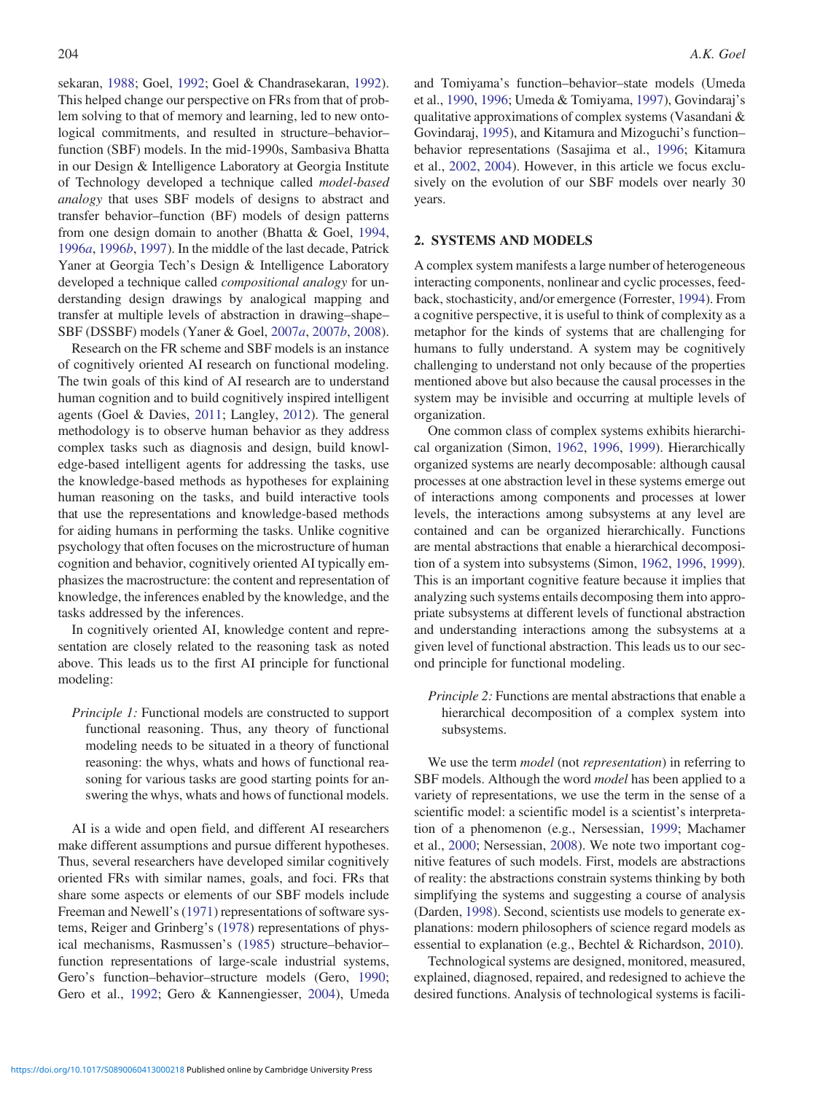sekaran, [1988;](#page-11-0) Goel, [1992](#page-11-0); Goel & Chandrasekaran, [1992](#page-11-0)). This helped change our perspective on FRs from that of problem solving to that of memory and learning, led to new ontological commitments, and resulted in structure–behavior– function (SBF) models. In the mid-1990s, Sambasiva Bhatta in our Design & Intelligence Laboratory at Georgia Institute of Technology developed a technique called model-based analogy that uses SBF models of designs to abstract and transfer behavior–function (BF) models of design patterns from one design domain to another (Bhatta & Goel, [1994](#page-11-0), [1996](#page-11-0)a, [1996](#page-11-0)b, [1997](#page-11-0)). In the middle of the last decade, Patrick Yaner at Georgia Tech's Design & Intelligence Laboratory developed a technique called compositional analogy for understanding design drawings by analogical mapping and transfer at multiple levels of abstraction in drawing–shape– SBF (DSSBF) models (Yaner & Goel, [2007](#page-12-0)a, [2007](#page-12-0)b, [2008](#page-12-0)).

Research on the FR scheme and SBF models is an instance of cognitively oriented AI research on functional modeling. The twin goals of this kind of AI research are to understand human cognition and to build cognitively inspired intelligent agents (Goel & Davies, [2011](#page-11-0); Langley, [2012](#page-12-0)). The general methodology is to observe human behavior as they address complex tasks such as diagnosis and design, build knowledge-based intelligent agents for addressing the tasks, use the knowledge-based methods as hypotheses for explaining human reasoning on the tasks, and build interactive tools that use the representations and knowledge-based methods for aiding humans in performing the tasks. Unlike cognitive psychology that often focuses on the microstructure of human cognition and behavior, cognitively oriented AI typically emphasizes the macrostructure: the content and representation of knowledge, the inferences enabled by the knowledge, and the tasks addressed by the inferences.

In cognitively oriented AI, knowledge content and representation are closely related to the reasoning task as noted above. This leads us to the first AI principle for functional modeling:

Principle 1: Functional models are constructed to support functional reasoning. Thus, any theory of functional modeling needs to be situated in a theory of functional reasoning: the whys, whats and hows of functional reasoning for various tasks are good starting points for answering the whys, whats and hows of functional models.

AI is a wide and open field, and different AI researchers make different assumptions and pursue different hypotheses. Thus, several researchers have developed similar cognitively oriented FRs with similar names, goals, and foci. FRs that share some aspects or elements of our SBF models include Freeman and Newell's ([1971\)](#page-11-0) representations of software systems, Reiger and Grinberg's ([1978\)](#page-12-0) representations of physical mechanisms, Rasmussen's ([1985\)](#page-12-0) structure–behavior– function representations of large-scale industrial systems, Gero's function–behavior–structure models (Gero, [1990](#page-11-0); Gero et al., [1992](#page-11-0); Gero & Kannengiesser, [2004](#page-11-0)), Umeda

and Tomiyama's function–behavior–state models (Umeda et al., [1990](#page-12-0), [1996](#page-12-0); Umeda & Tomiyama, [1997\)](#page-12-0), Govindaraj's qualitative approximations of complex systems (Vasandani & Govindaraj, [1995\)](#page-12-0), and Kitamura and Mizoguchi's function– behavior representations (Sasajima et al., [1996](#page-12-0); Kitamura et al., [2002](#page-12-0), [2004\)](#page-12-0). However, in this article we focus exclusively on the evolution of our SBF models over nearly 30 years.

#### 2. SYSTEMS AND MODELS

A complex system manifests a large number of heterogeneous interacting components, nonlinear and cyclic processes, feedback, stochasticity, and/or emergence (Forrester, [1994\)](#page-11-0). From a cognitive perspective, it is useful to think of complexity as a metaphor for the kinds of systems that are challenging for humans to fully understand. A system may be cognitively challenging to understand not only because of the properties mentioned above but also because the causal processes in the system may be invisible and occurring at multiple levels of organization.

One common class of complex systems exhibits hierarchical organization (Simon, [1962,](#page-12-0) [1996,](#page-12-0) [1999\)](#page-12-0). Hierarchically organized systems are nearly decomposable: although causal processes at one abstraction level in these systems emerge out of interactions among components and processes at lower levels, the interactions among subsystems at any level are contained and can be organized hierarchically. Functions are mental abstractions that enable a hierarchical decomposition of a system into subsystems (Simon, [1962](#page-12-0), [1996](#page-12-0), [1999](#page-12-0)). This is an important cognitive feature because it implies that analyzing such systems entails decomposing them into appropriate subsystems at different levels of functional abstraction and understanding interactions among the subsystems at a given level of functional abstraction. This leads us to our second principle for functional modeling.

Principle 2: Functions are mental abstractions that enable a hierarchical decomposition of a complex system into subsystems.

We use the term *model* (not *representation*) in referring to SBF models. Although the word *model* has been applied to a variety of representations, we use the term in the sense of a scientific model: a scientific model is a scientist's interpretation of a phenomenon (e.g., Nersessian, [1999;](#page-12-0) Machamer et al., [2000;](#page-12-0) Nersessian, [2008\)](#page-12-0). We note two important cognitive features of such models. First, models are abstractions of reality: the abstractions constrain systems thinking by both simplifying the systems and suggesting a course of analysis (Darden, [1998](#page-11-0)). Second, scientists use models to generate explanations: modern philosophers of science regard models as essential to explanation (e.g., Bechtel & Richardson, [2010](#page-11-0)).

Technological systems are designed, monitored, measured, explained, diagnosed, repaired, and redesigned to achieve the desired functions. Analysis of technological systems is facili-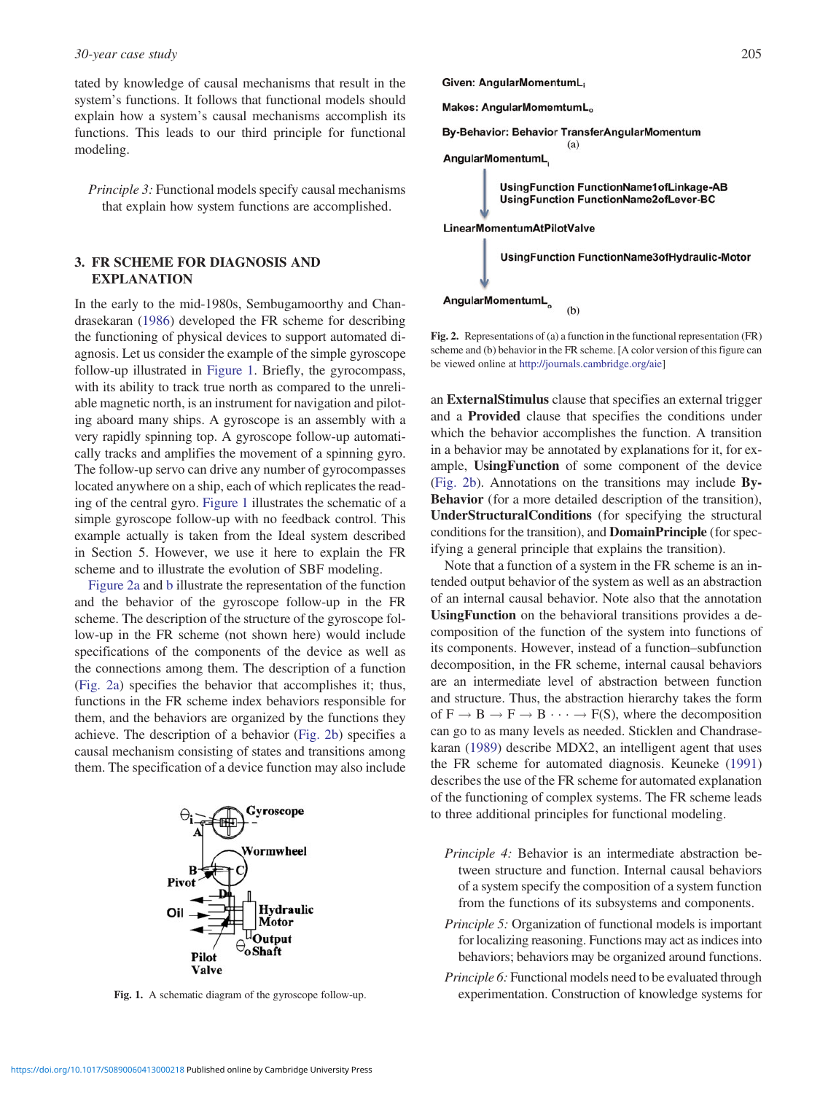#### <span id="page-2-0"></span>30-year case study 205

tated by knowledge of causal mechanisms that result in the system's functions. It follows that functional models should explain how a system's causal mechanisms accomplish its functions. This leads to our third principle for functional modeling.

Principle 3: Functional models specify causal mechanisms that explain how system functions are accomplished.

## 3. FR SCHEME FOR DIAGNOSIS AND EXPLANATION

In the early to the mid-1980s, Sembugamoorthy and Chandrasekaran [\(1986](#page-12-0)) developed the FR scheme for describing the functioning of physical devices to support automated diagnosis. Let us consider the example of the simple gyroscope follow-up illustrated in Figure 1. Briefly, the gyrocompass, with its ability to track true north as compared to the unreliable magnetic north, is an instrument for navigation and piloting aboard many ships. A gyroscope is an assembly with a very rapidly spinning top. A gyroscope follow-up automatically tracks and amplifies the movement of a spinning gyro. The follow-up servo can drive any number of gyrocompasses located anywhere on a ship, each of which replicates the reading of the central gyro. Figure 1 illustrates the schematic of a simple gyroscope follow-up with no feedback control. This example actually is taken from the Ideal system described in Section 5. However, we use it here to explain the FR scheme and to illustrate the evolution of SBF modeling.

Figure 2a and b illustrate the representation of the function and the behavior of the gyroscope follow-up in the FR scheme. The description of the structure of the gyroscope follow-up in the FR scheme (not shown here) would include specifications of the components of the device as well as the connections among them. The description of a function (Fig. 2a) specifies the behavior that accomplishes it; thus, functions in the FR scheme index behaviors responsible for them, and the behaviors are organized by the functions they achieve. The description of a behavior (Fig. 2b) specifies a causal mechanism consisting of states and transitions among them. The specification of a device function may also include



Given: AngularMomentumLi

Makes: AngularMomemtumL<sub>o</sub>

**By-Behavior: Behavior TransferAngularMomentum**  $(a)$ 

**AngularMomentumL** 

**UsingFunction FunctionName1ofLinkage-AB** UsingFunction FunctionName2ofLever-BC

LinearMomentumAtPilotValve



Fig. 2. Representations of (a) a function in the functional representation (FR) scheme and (b) behavior in the FR scheme. [A color version of this figure can be viewed online at [http://journals.cambridge.org/aie\]](http://journals.cambridge.org/aie)

an ExternalStimulus clause that specifies an external trigger and a Provided clause that specifies the conditions under which the behavior accomplishes the function. A transition in a behavior may be annotated by explanations for it, for example, UsingFunction of some component of the device (Fig. 2b). Annotations on the transitions may include By-Behavior (for a more detailed description of the transition), UnderStructuralConditions (for specifying the structural conditions for the transition), and DomainPrinciple (for specifying a general principle that explains the transition).

Note that a function of a system in the FR scheme is an intended output behavior of the system as well as an abstraction of an internal causal behavior. Note also that the annotation UsingFunction on the behavioral transitions provides a decomposition of the function of the system into functions of its components. However, instead of a function–subfunction decomposition, in the FR scheme, internal causal behaviors are an intermediate level of abstraction between function and structure. Thus, the abstraction hierarchy takes the form of  $F \to B \to F \to B \cdots \to F(S)$ , where the decomposition can go to as many levels as needed. Sticklen and Chandrasekaran [\(1989](#page-12-0)) describe MDX2, an intelligent agent that uses the FR scheme for automated diagnosis. Keuneke ([1991\)](#page-12-0) describes the use of the FR scheme for automated explanation of the functioning of complex systems. The FR scheme leads to three additional principles for functional modeling.

- Principle 4: Behavior is an intermediate abstraction between structure and function. Internal causal behaviors of a system specify the composition of a system function from the functions of its subsystems and components.
- Principle 5: Organization of functional models is important for localizing reasoning. Functions may act as indices into behaviors; behaviors may be organized around functions.
- Principle 6: Functional models need to be evaluated through Fig. 1. A schematic diagram of the gyroscope follow-up. experimentation. Construction of knowledge systems for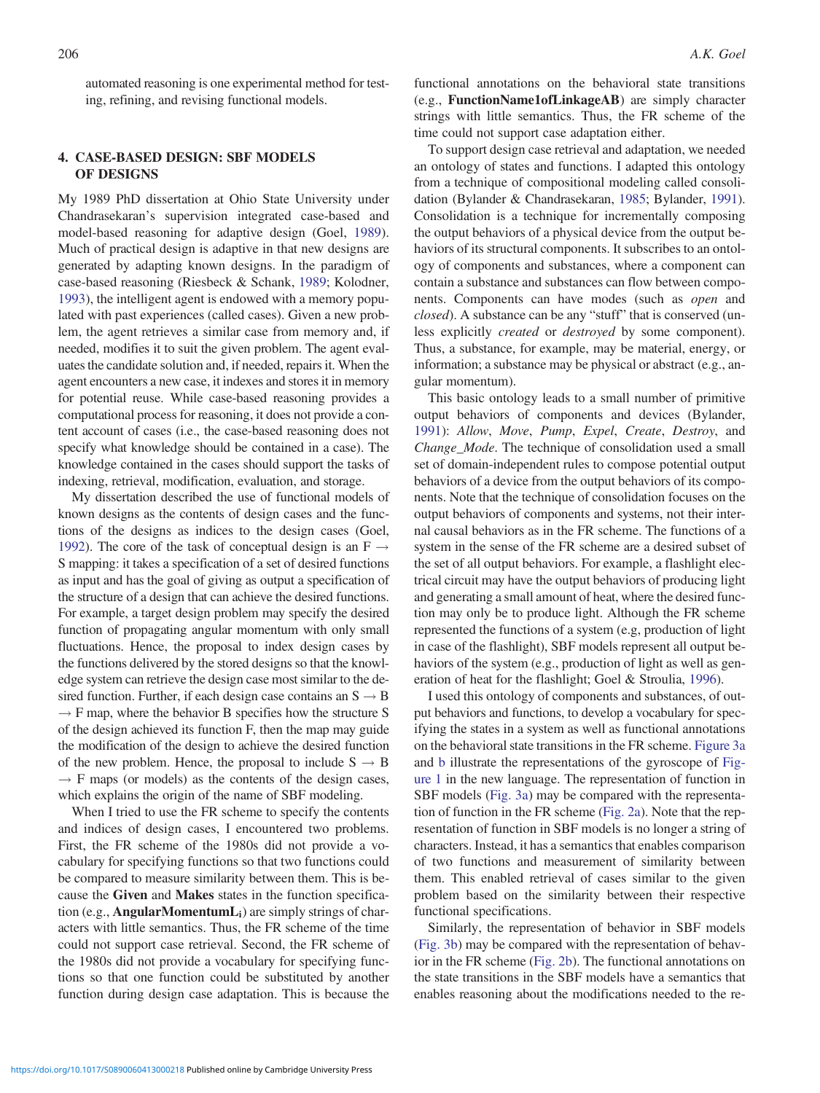automated reasoning is one experimental method for testing, refining, and revising functional models.

## 4. CASE-BASED DESIGN: SBF MODELS OF DESIGNS

My 1989 PhD dissertation at Ohio State University under Chandrasekaran's supervision integrated case-based and model-based reasoning for adaptive design (Goel, [1989](#page-11-0)). Much of practical design is adaptive in that new designs are generated by adapting known designs. In the paradigm of case-based reasoning (Riesbeck & Schank, [1989](#page-12-0); Kolodner, [1993](#page-12-0)), the intelligent agent is endowed with a memory populated with past experiences (called cases). Given a new problem, the agent retrieves a similar case from memory and, if needed, modifies it to suit the given problem. The agent evaluates the candidate solution and, if needed, repairs it. When the agent encounters a new case, it indexes and stores it in memory for potential reuse. While case-based reasoning provides a computational process for reasoning, it does not provide a content account of cases (i.e., the case-based reasoning does not specify what knowledge should be contained in a case). The knowledge contained in the cases should support the tasks of indexing, retrieval, modification, evaluation, and storage.

My dissertation described the use of functional models of known designs as the contents of design cases and the functions of the designs as indices to the design cases (Goel, [1992\)](#page-11-0). The core of the task of conceptual design is an  $F \rightarrow$ S mapping: it takes a specification of a set of desired functions as input and has the goal of giving as output a specification of the structure of a design that can achieve the desired functions. For example, a target design problem may specify the desired function of propagating angular momentum with only small fluctuations. Hence, the proposal to index design cases by the functions delivered by the stored designs so that the knowledge system can retrieve the design case most similar to the desired function. Further, if each design case contains an  $S \rightarrow B$  $\rightarrow$  F map, where the behavior B specifies how the structure S of the design achieved its function F, then the map may guide the modification of the design to achieve the desired function of the new problem. Hence, the proposal to include  $S \rightarrow B$  $\rightarrow$  F maps (or models) as the contents of the design cases, which explains the origin of the name of SBF modeling.

When I tried to use the FR scheme to specify the contents and indices of design cases, I encountered two problems. First, the FR scheme of the 1980s did not provide a vocabulary for specifying functions so that two functions could be compared to measure similarity between them. This is because the Given and Makes states in the function specification (e.g., **AngularMomentumL**<sub>i</sub>) are simply strings of characters with little semantics. Thus, the FR scheme of the time could not support case retrieval. Second, the FR scheme of the 1980s did not provide a vocabulary for specifying functions so that one function could be substituted by another function during design case adaptation. This is because the

functional annotations on the behavioral state transitions (e.g., FunctionName1ofLinkageAB) are simply character strings with little semantics. Thus, the FR scheme of the time could not support case adaptation either.

To support design case retrieval and adaptation, we needed an ontology of states and functions. I adapted this ontology from a technique of compositional modeling called consolidation (Bylander & Chandrasekaran, [1985;](#page-11-0) Bylander, [1991](#page-11-0)). Consolidation is a technique for incrementally composing the output behaviors of a physical device from the output behaviors of its structural components. It subscribes to an ontology of components and substances, where a component can contain a substance and substances can flow between components. Components can have modes (such as open and closed). A substance can be any "stuff" that is conserved (unless explicitly created or destroyed by some component). Thus, a substance, for example, may be material, energy, or information; a substance may be physical or abstract (e.g., angular momentum).

This basic ontology leads to a small number of primitive output behaviors of components and devices (Bylander, [1991\)](#page-11-0): Allow, Move, Pump, Expel, Create, Destroy, and Change\_Mode. The technique of consolidation used a small set of domain-independent rules to compose potential output behaviors of a device from the output behaviors of its components. Note that the technique of consolidation focuses on the output behaviors of components and systems, not their internal causal behaviors as in the FR scheme. The functions of a system in the sense of the FR scheme are a desired subset of the set of all output behaviors. For example, a flashlight electrical circuit may have the output behaviors of producing light and generating a small amount of heat, where the desired function may only be to produce light. Although the FR scheme represented the functions of a system (e.g, production of light in case of the flashlight), SBF models represent all output behaviors of the system (e.g., production of light as well as generation of heat for the flashlight; Goel & Stroulia, [1996\)](#page-11-0).

I used this ontology of components and substances, of output behaviors and functions, to develop a vocabulary for specifying the states in a system as well as functional annotations on the behavioral state transitions in the FR scheme. [Figure 3a](#page-4-0) and [b](#page-4-0) illustrate the representations of the gyroscope of [Fig](#page-2-0)[ure 1](#page-2-0) in the new language. The representation of function in SBF models ([Fig. 3a\)](#page-4-0) may be compared with the representation of function in the FR scheme ([Fig. 2a](#page-2-0)). Note that the representation of function in SBF models is no longer a string of characters. Instead, it has a semantics that enables comparison of two functions and measurement of similarity between them. This enabled retrieval of cases similar to the given problem based on the similarity between their respective functional specifications.

Similarly, the representation of behavior in SBF models [\(Fig. 3b](#page-4-0)) may be compared with the representation of behavior in the FR scheme ([Fig. 2b\)](#page-2-0). The functional annotations on the state transitions in the SBF models have a semantics that enables reasoning about the modifications needed to the re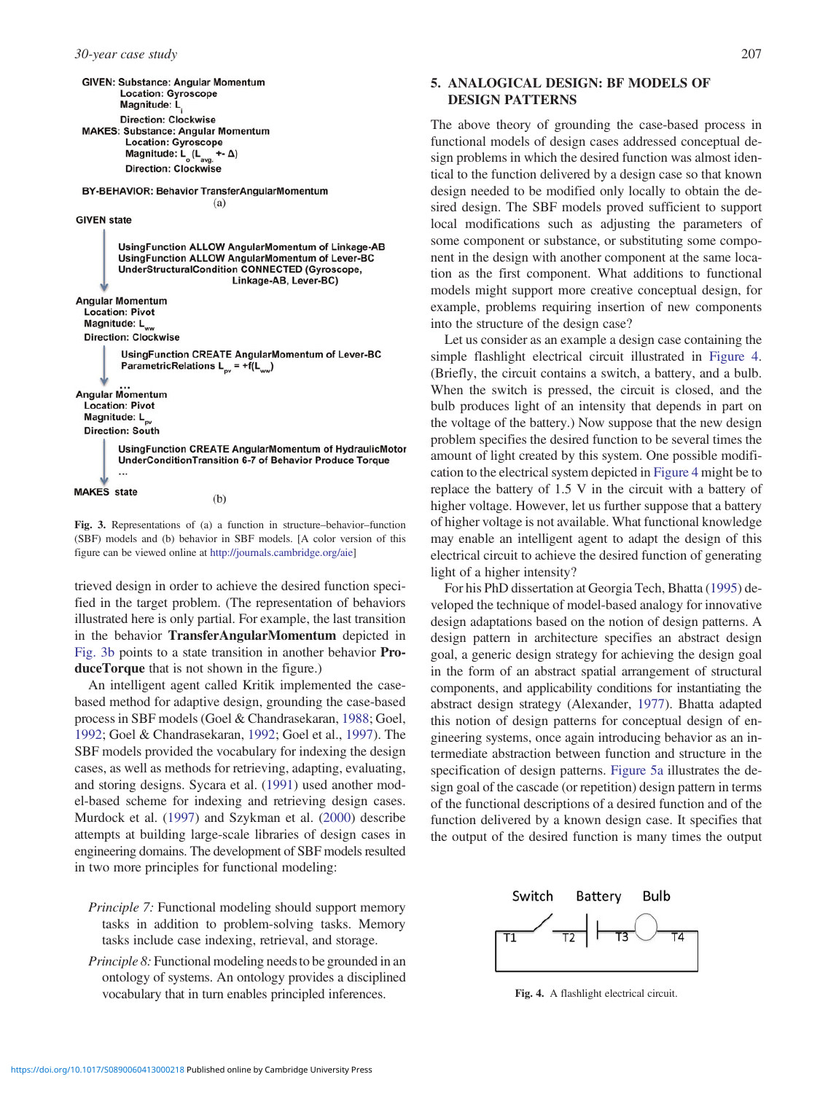<span id="page-4-0"></span>**GIVEN: Substance: Angular Momentum Location: Gyroscope** Magnitude: L **Direction: Clockwise MAKES: Substance: Angular Momentum Location: Gyroscope** Magnitude:  $L_{\text{o}}(L_{\text{avg}} + \Delta)$ **Direction: Clockwise** 

BY-BEHAVIOR: Behavior TransferAngularMomentum

 $(a)$ 

**GIVEN state** 

UsingFunction ALLOW AngularMomentum of Linkage-AB UsingFunction ALLOW AngularMomentum of Lever-BC **UnderStructuralCondition CONNECTED (Gyroscope,** Linkage-AB, Lever-BC)

**Angular Momentum Location: Pivot** Magnitude: L<sub>ww</sub> **Direction: Clockwise** 

**UsingFunction CREATE AngularMomentum of Lever-BC** Parametric Relations  $L_{\text{av}} = +f(L_{\text{wav}})$ 

Angular Momentum **Location: Pivot** Magnitude: L<sub>m</sub>

**Direction: South** 

UsingFunction CREATE AngularMomentum of HydraulicMotor **UnderConditionTransition 6-7 of Behavior Produce Torque**  $\ddotsc$ 

**MAKES** state

Fig. 3. Representations of (a) a function in structure–behavior–function (SBF) models and (b) behavior in SBF models. [A color version of this figure can be viewed online at [http://journals.cambridge.org/aie\]](http://journals.cambridge.org/aie)

 $(b)$ 

trieved design in order to achieve the desired function specified in the target problem. (The representation of behaviors illustrated here is only partial. For example, the last transition in the behavior TransferAngularMomentum depicted in Fig. 3b points to a state transition in another behavior ProduceTorque that is not shown in the figure.)

An intelligent agent called Kritik implemented the casebased method for adaptive design, grounding the case-based process in SBF models (Goel & Chandrasekaran, [1988;](#page-11-0) Goel, [1992](#page-11-0); Goel & Chandrasekaran, [1992;](#page-11-0) Goel et al., [1997](#page-11-0)). The SBF models provided the vocabulary for indexing the design cases, as well as methods for retrieving, adapting, evaluating, and storing designs. Sycara et al. ([1991\)](#page-12-0) used another model-based scheme for indexing and retrieving design cases. Murdock et al. [\(1997](#page-12-0)) and Szykman et al. [\(2000](#page-12-0)) describe attempts at building large-scale libraries of design cases in engineering domains. The development of SBF models resulted in two more principles for functional modeling:

- Principle 7: Functional modeling should support memory tasks in addition to problem-solving tasks. Memory tasks include case indexing, retrieval, and storage.
- Principle 8: Functional modeling needs to be grounded in an ontology of systems. An ontology provides a disciplined vocabulary that in turn enables principled inferences.

## 5. ANALOGICAL DESIGN: BF MODELS OF DESIGN PATTERNS

The above theory of grounding the case-based process in functional models of design cases addressed conceptual design problems in which the desired function was almost identical to the function delivered by a design case so that known design needed to be modified only locally to obtain the desired design. The SBF models proved sufficient to support local modifications such as adjusting the parameters of some component or substance, or substituting some component in the design with another component at the same location as the first component. What additions to functional models might support more creative conceptual design, for example, problems requiring insertion of new components into the structure of the design case?

Let us consider as an example a design case containing the simple flashlight electrical circuit illustrated in Figure 4. (Briefly, the circuit contains a switch, a battery, and a bulb. When the switch is pressed, the circuit is closed, and the bulb produces light of an intensity that depends in part on the voltage of the battery.) Now suppose that the new design problem specifies the desired function to be several times the amount of light created by this system. One possible modification to the electrical system depicted in Figure 4 might be to replace the battery of 1.5 V in the circuit with a battery of higher voltage. However, let us further suppose that a battery of higher voltage is not available. What functional knowledge may enable an intelligent agent to adapt the design of this electrical circuit to achieve the desired function of generating light of a higher intensity?

For his PhD dissertation at Georgia Tech, Bhatta [\(1995](#page-11-0)) developed the technique of model-based analogy for innovative design adaptations based on the notion of design patterns. A design pattern in architecture specifies an abstract design goal, a generic design strategy for achieving the design goal in the form of an abstract spatial arrangement of structural components, and applicability conditions for instantiating the abstract design strategy (Alexander, [1977\)](#page-11-0). Bhatta adapted this notion of design patterns for conceptual design of engineering systems, once again introducing behavior as an intermediate abstraction between function and structure in the specification of design patterns. [Figure 5a](#page-5-0) illustrates the design goal of the cascade (or repetition) design pattern in terms of the functional descriptions of a desired function and of the function delivered by a known design case. It specifies that the output of the desired function is many times the output



Fig. 4. A flashlight electrical circuit.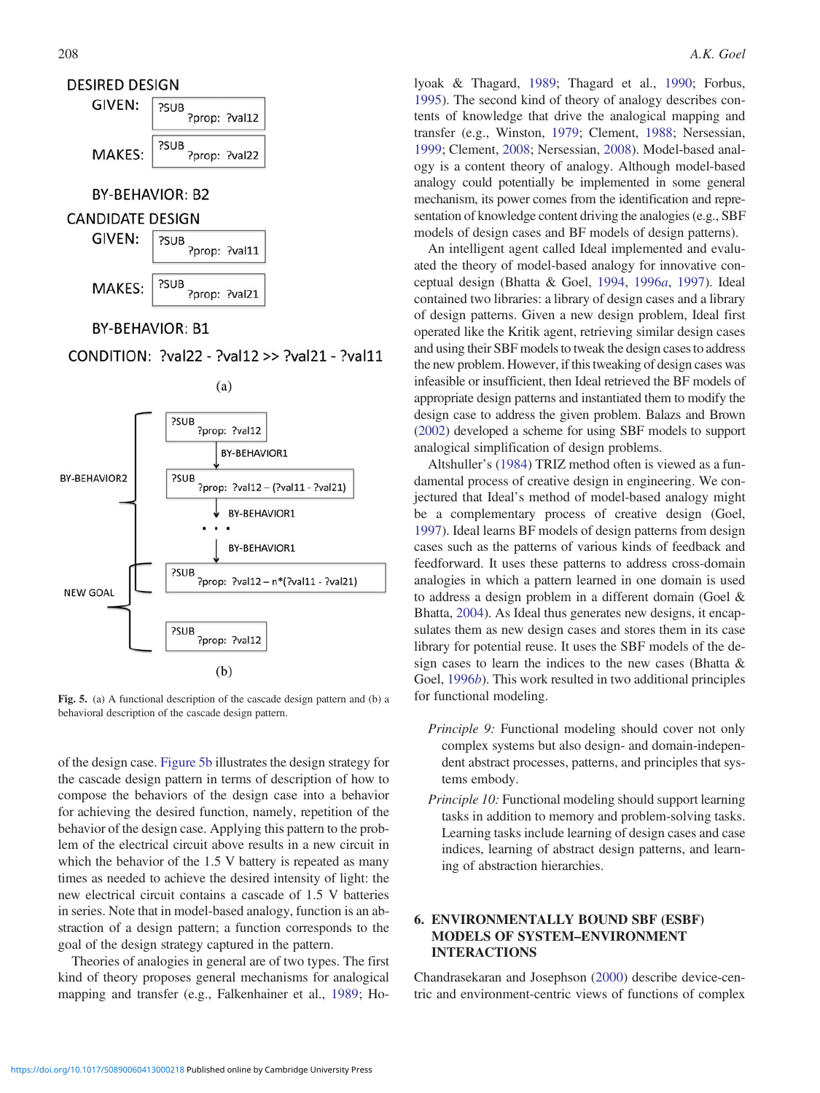<span id="page-5-0"></span>

Fig. 5. (a) A functional description of the cascade design pattern and (b) a behavioral description of the cascade design pattern.

 $(b)$ 

of the design case. Figure 5b illustrates the design strategy for the cascade design pattern in terms of description of how to compose the behaviors of the design case into a behavior for achieving the desired function, namely, repetition of the behavior of the design case. Applying this pattern to the problem of the electrical circuit above results in a new circuit in which the behavior of the 1.5 V battery is repeated as many times as needed to achieve the desired intensity of light: the new electrical circuit contains a cascade of 1.5 V batteries in series. Note that in model-based analogy, function is an abstraction of a design pattern; a function corresponds to the goal of the design strategy captured in the pattern.

Theories of analogies in general are of two types. The first kind of theory proposes general mechanisms for analogical mapping and transfer (e.g., Falkenhainer et al., [1989;](#page-11-0) Holyoak & Thagard, [1989;](#page-11-0) Thagard et al., [1990](#page-12-0); Forbus, [1995](#page-11-0)). The second kind of theory of analogy describes contents of knowledge that drive the analogical mapping and transfer (e.g., Winston, [1979](#page-12-0); Clement, [1988](#page-11-0); Nersessian, [1999](#page-12-0); Clement, [2008](#page-11-0); Nersessian, [2008](#page-12-0)). Model-based analogy is a content theory of analogy. Although model-based analogy could potentially be implemented in some general mechanism, its power comes from the identification and representation of knowledge content driving the analogies (e.g., SBF models of design cases and BF models of design patterns).

An intelligent agent called Ideal implemented and evaluated the theory of model-based analogy for innovative conceptual design (Bhatta & Goel, [1994,](#page-11-0) [1996](#page-11-0)a, [1997\)](#page-11-0). Ideal contained two libraries: a library of design cases and a library of design patterns. Given a new design problem, Ideal first operated like the Kritik agent, retrieving similar design cases and using their SBF models to tweak the design cases to address the new problem. However, if this tweaking of design cases was infeasible or insufficient, then Ideal retrieved the BF models of appropriate design patterns and instantiated them to modify the design case to address the given problem. Balazs and Brown [\(2002\)](#page-11-0) developed a scheme for using SBF models to support analogical simplification of design problems.

Altshuller's [\(1984](#page-11-0)) TRIZ method often is viewed as a fundamental process of creative design in engineering. We conjectured that Ideal's method of model-based analogy might be a complementary process of creative design (Goel, [1997](#page-11-0)). Ideal learns BF models of design patterns from design cases such as the patterns of various kinds of feedback and feedforward. It uses these patterns to address cross-domain analogies in which a pattern learned in one domain is used to address a design problem in a different domain (Goel & Bhatta, [2004\)](#page-11-0). As Ideal thus generates new designs, it encapsulates them as new design cases and stores them in its case library for potential reuse. It uses the SBF models of the design cases to learn the indices to the new cases (Bhatta & Goel, [1996](#page-11-0)b). This work resulted in two additional principles for functional modeling.

- Principle 9: Functional modeling should cover not only complex systems but also design- and domain-independent abstract processes, patterns, and principles that systems embody.
- Principle 10: Functional modeling should support learning tasks in addition to memory and problem-solving tasks. Learning tasks include learning of design cases and case indices, learning of abstract design patterns, and learning of abstraction hierarchies.

## 6. ENVIRONMENTALLY BOUND SBF (ESBF) MODELS OF SYSTEM–ENVIRONMENT INTERACTIONS

Chandrasekaran and Josephson [\(2000\)](#page-11-0) describe device-centric and environment-centric views of functions of complex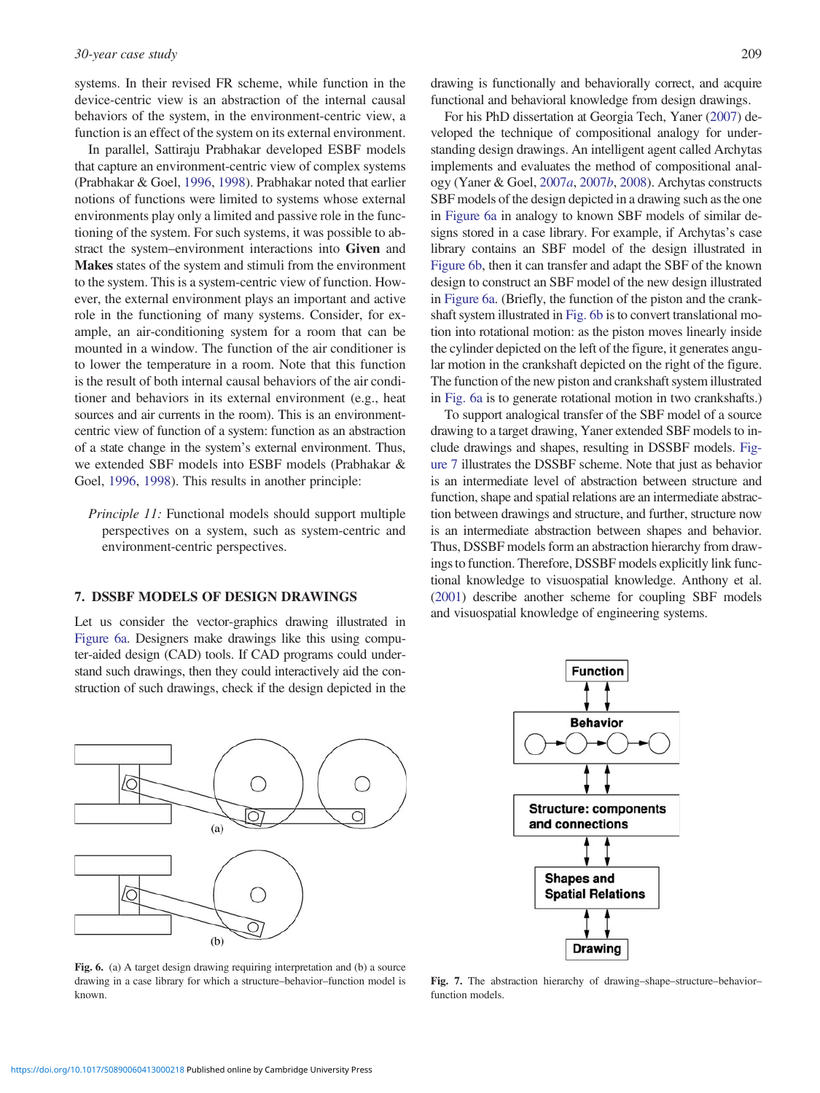systems. In their revised FR scheme, while function in the device-centric view is an abstraction of the internal causal behaviors of the system, in the environment-centric view, a function is an effect of the system on its external environment.

In parallel, Sattiraju Prabhakar developed ESBF models that capture an environment-centric view of complex systems (Prabhakar & Goel, [1996](#page-12-0), [1998\)](#page-12-0). Prabhakar noted that earlier notions of functions were limited to systems whose external environments play only a limited and passive role in the functioning of the system. For such systems, it was possible to abstract the system–environment interactions into Given and Makes states of the system and stimuli from the environment to the system. This is a system-centric view of function. However, the external environment plays an important and active role in the functioning of many systems. Consider, for example, an air-conditioning system for a room that can be mounted in a window. The function of the air conditioner is to lower the temperature in a room. Note that this function is the result of both internal causal behaviors of the air conditioner and behaviors in its external environment (e.g., heat sources and air currents in the room). This is an environmentcentric view of function of a system: function as an abstraction of a state change in the system's external environment. Thus, we extended SBF models into ESBF models (Prabhakar & Goel, [1996,](#page-12-0) [1998\)](#page-12-0). This results in another principle:

Principle 11: Functional models should support multiple perspectives on a system, such as system-centric and environment-centric perspectives.

#### 7. DSSBF MODELS OF DESIGN DRAWINGS

Let us consider the vector-graphics drawing illustrated in Figure 6a. Designers make drawings like this using computer-aided design (CAD) tools. If CAD programs could understand such drawings, then they could interactively aid the construction of such drawings, check if the design depicted in the





Fig. 6. (a) A target design drawing requiring interpretation and (b) a source drawing in a case library for which a structure–behavior–function model is known.

Fig. 7. The abstraction hierarchy of drawing–shape–structure–behavior– function models.

drawing is functionally and behaviorally correct, and acquire functional and behavioral knowledge from design drawings.

For his PhD dissertation at Georgia Tech, Yaner [\(2007\)](#page-12-0) developed the technique of compositional analogy for understanding design drawings. An intelligent agent called Archytas implements and evaluates the method of compositional analogy (Yaner & Goel, [2007](#page-12-0)a, [2007](#page-12-0)b, [2008\)](#page-12-0). Archytas constructs SBF models of the design depicted in a drawing such as the one in Figure 6a in analogy to known SBF models of similar designs stored in a case library. For example, if Archytas's case library contains an SBF model of the design illustrated in Figure 6b, then it can transfer and adapt the SBF of the known design to construct an SBF model of the new design illustrated in Figure 6a. (Briefly, the function of the piston and the crankshaft system illustrated in Fig. 6b is to convert translational motion into rotational motion: as the piston moves linearly inside the cylinder depicted on the left of the figure, it generates angular motion in the crankshaft depicted on the right of the figure. The function of the new piston and crankshaft system illustrated in Fig. 6a is to generate rotational motion in two crankshafts.)

To support analogical transfer of the SBF model of a source drawing to a target drawing, Yaner extended SBF models to include drawings and shapes, resulting in DSSBF models. Figure 7 illustrates the DSSBF scheme. Note that just as behavior is an intermediate level of abstraction between structure and function, shape and spatial relations are an intermediate abstraction between drawings and structure, and further, structure now is an intermediate abstraction between shapes and behavior. Thus, DSSBF models form an abstraction hierarchy from drawings to function. Therefore, DSSBF models explicitly link functional knowledge to visuospatial knowledge. Anthony et al. [\(2001](#page-11-0)) describe another scheme for coupling SBF models and visuospatial knowledge of engineering systems.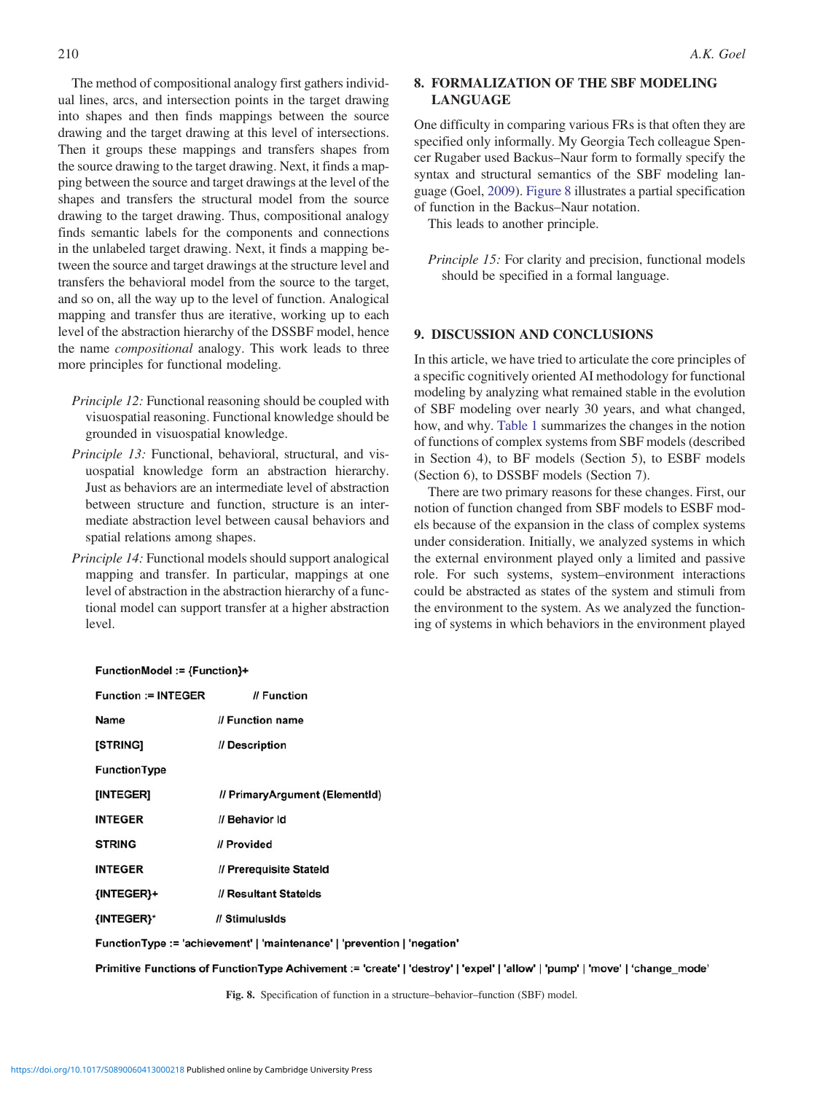The method of compositional analogy first gathers individual lines, arcs, and intersection points in the target drawing into shapes and then finds mappings between the source drawing and the target drawing at this level of intersections. Then it groups these mappings and transfers shapes from the source drawing to the target drawing. Next, it finds a mapping between the source and target drawings at the level of the shapes and transfers the structural model from the source drawing to the target drawing. Thus, compositional analogy finds semantic labels for the components and connections in the unlabeled target drawing. Next, it finds a mapping between the source and target drawings at the structure level and transfers the behavioral model from the source to the target, and so on, all the way up to the level of function. Analogical mapping and transfer thus are iterative, working up to each level of the abstraction hierarchy of the DSSBF model, hence the name compositional analogy. This work leads to three more principles for functional modeling.

- Principle 12: Functional reasoning should be coupled with visuospatial reasoning. Functional knowledge should be grounded in visuospatial knowledge.
- Principle 13: Functional, behavioral, structural, and visuospatial knowledge form an abstraction hierarchy. Just as behaviors are an intermediate level of abstraction between structure and function, structure is an intermediate abstraction level between causal behaviors and spatial relations among shapes.
- Principle 14: Functional models should support analogical mapping and transfer. In particular, mappings at one level of abstraction in the abstraction hierarchy of a functional model can support transfer at a higher abstraction level.

 $FunctionMode' = fFunction1+$ 

## 8. FORMALIZATION OF THE SBF MODELING LANGUAGE

One difficulty in comparing various FRs is that often they are specified only informally. My Georgia Tech colleague Spencer Rugaber used Backus–Naur form to formally specify the syntax and structural semantics of the SBF modeling language (Goel, [2009](#page-11-0)). Figure 8 illustrates a partial specification of function in the Backus–Naur notation.

This leads to another principle.

Principle 15: For clarity and precision, functional models should be specified in a formal language.

#### 9. DISCUSSION AND CONCLUSIONS

In this article, we have tried to articulate the core principles of a specific cognitively oriented AI methodology for functional modeling by analyzing what remained stable in the evolution of SBF modeling over nearly 30 years, and what changed, how, and why. [Table 1](#page-8-0) summarizes the changes in the notion of functions of complex systems from SBF models (described in Section 4), to BF models (Section 5), to ESBF models (Section 6), to DSSBF models (Section 7).

There are two primary reasons for these changes. First, our notion of function changed from SBF models to ESBF models because of the expansion in the class of complex systems under consideration. Initially, we analyzed systems in which the external environment played only a limited and passive role. For such systems, system–environment interactions could be abstracted as states of the system and stimuli from the environment to the system. As we analyzed the functioning of systems in which behaviors in the environment played

| <b>Function := INTEGER</b>                                               | // Function                    |  |
|--------------------------------------------------------------------------|--------------------------------|--|
| Name                                                                     | // Function name               |  |
| [STRING]                                                                 | // Description                 |  |
| FunctionType                                                             |                                |  |
| [INTEGER]                                                                | // PrimaryArgument (ElementId) |  |
| <b>INTEGER</b>                                                           | // Behavior Id                 |  |
| <b>STRING</b>                                                            | // Provided                    |  |
| <b>INTEGER</b>                                                           | // Prerequisite Stateld        |  |
| {INTEGER}+                                                               | // Resultant Statelds          |  |
| {INTEGER}*                                                               | // StimulusIds                 |  |
| FunctionType := 'achievement'   'maintenance'   'prevention   'negation' |                                |  |

#### Primitive Functions of FunctionType Achivement := 'create' | 'destroy' | 'expel' | 'allow' | 'pump' | 'move' | 'change\_mode'

Fig. 8. Specification of function in a structure–behavior–function (SBF) model.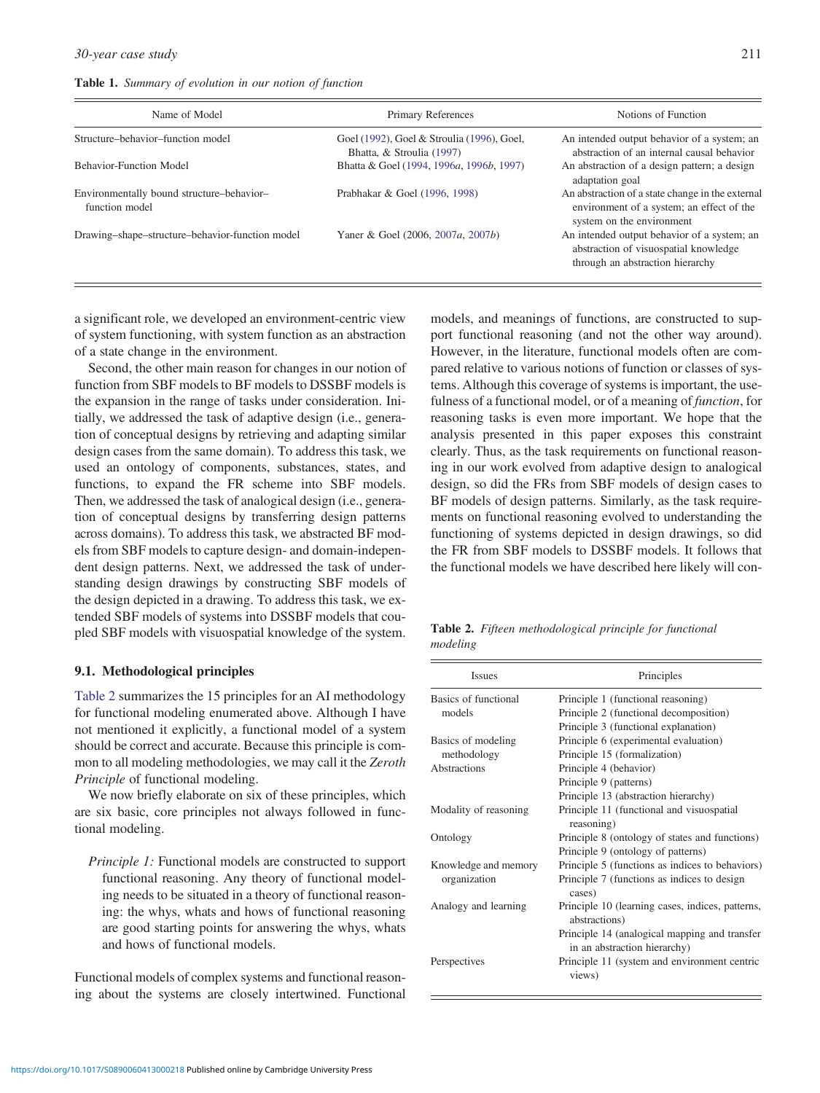<span id="page-8-0"></span>

| Table 1. Summary of evolution in our notion of function |  |  |  |  |
|---------------------------------------------------------|--|--|--|--|
|                                                         |  |  |  |  |

| Name of Model                                               | Primary References                                                      | Notions of Function                                                                                                        |
|-------------------------------------------------------------|-------------------------------------------------------------------------|----------------------------------------------------------------------------------------------------------------------------|
| Structure–behavior–function model                           | Goel (1992), Goel & Stroulia (1996), Goel,<br>Bhatta, & Stroulia (1997) | An intended output behavior of a system; an<br>abstraction of an internal causal behavior                                  |
| <b>Behavior-Function Model</b>                              | Bhatta & Goel (1994, 1996a, 1996b, 1997)                                | An abstraction of a design pattern; a design<br>adaptation goal                                                            |
| Environmentally bound structure-behavior-<br>function model | Prabhakar & Goel (1996, 1998)                                           | An abstraction of a state change in the external<br>environment of a system; an effect of the<br>system on the environment |
| Drawing-shape-structure-behavior-function model             | Yaner & Goel (2006, 2007a, 2007b)                                       | An intended output behavior of a system; an<br>abstraction of visuospatial knowledge<br>through an abstraction hierarchy   |

a significant role, we developed an environment-centric view of system functioning, with system function as an abstraction of a state change in the environment.

Second, the other main reason for changes in our notion of function from SBF models to BF models to DSSBF models is the expansion in the range of tasks under consideration. Initially, we addressed the task of adaptive design (i.e., generation of conceptual designs by retrieving and adapting similar design cases from the same domain). To address this task, we used an ontology of components, substances, states, and functions, to expand the FR scheme into SBF models. Then, we addressed the task of analogical design (i.e., generation of conceptual designs by transferring design patterns across domains). To address this task, we abstracted BF models from SBF models to capture design- and domain-independent design patterns. Next, we addressed the task of understanding design drawings by constructing SBF models of the design depicted in a drawing. To address this task, we extended SBF models of systems into DSSBF models that coupled SBF models with visuospatial knowledge of the system.

#### 9.1. Methodological principles

Table 2 summarizes the 15 principles for an AI methodology for functional modeling enumerated above. Although I have not mentioned it explicitly, a functional model of a system should be correct and accurate. Because this principle is common to all modeling methodologies, we may call it the Zeroth Principle of functional modeling.

We now briefly elaborate on six of these principles, which are six basic, core principles not always followed in functional modeling.

Principle 1: Functional models are constructed to support functional reasoning. Any theory of functional modeling needs to be situated in a theory of functional reasoning: the whys, whats and hows of functional reasoning are good starting points for answering the whys, whats and hows of functional models.

Functional models of complex systems and functional reasoning about the systems are closely intertwined. Functional

models, and meanings of functions, are constructed to support functional reasoning (and not the other way around). However, in the literature, functional models often are compared relative to various notions of function or classes of systems. Although this coverage of systems is important, the usefulness of a functional model, or of a meaning of function, for reasoning tasks is even more important. We hope that the analysis presented in this paper exposes this constraint clearly. Thus, as the task requirements on functional reasoning in our work evolved from adaptive design to analogical design, so did the FRs from SBF models of design cases to BF models of design patterns. Similarly, as the task requirements on functional reasoning evolved to understanding the functioning of systems depicted in design drawings, so did the FR from SBF models to DSSBF models. It follows that the functional models we have described here likely will con-

|          | <b>Table 2.</b> Fifteen methodological principle for functional |  |  |
|----------|-----------------------------------------------------------------|--|--|
| modeling |                                                                 |  |  |

| <b>Issues</b>         | Principles                                                                    |
|-----------------------|-------------------------------------------------------------------------------|
| Basics of functional  | Principle 1 (functional reasoning)                                            |
| models                | Principle 2 (functional decomposition)                                        |
|                       | Principle 3 (functional explanation)                                          |
| Basics of modeling    | Principle 6 (experimental evaluation)                                         |
| methodology           | Principle 15 (formalization)                                                  |
| Abstractions          | Principle 4 (behavior)                                                        |
|                       | Principle 9 (patterns)                                                        |
|                       | Principle 13 (abstraction hierarchy)                                          |
| Modality of reasoning | Principle 11 (functional and visuospatial                                     |
|                       | reasoning)                                                                    |
| Ontology              | Principle 8 (ontology of states and functions)                                |
|                       | Principle 9 (ontology of patterns)                                            |
| Knowledge and memory  | Principle 5 (functions as indices to behaviors)                               |
| organization          | Principle 7 (functions as indices to design<br>cases)                         |
| Analogy and learning  | Principle 10 (learning cases, indices, patterns,<br>abstractions)             |
|                       | Principle 14 (analogical mapping and transfer<br>in an abstraction hierarchy) |
| Perspectives          | Principle 11 (system and environment centric<br>views)                        |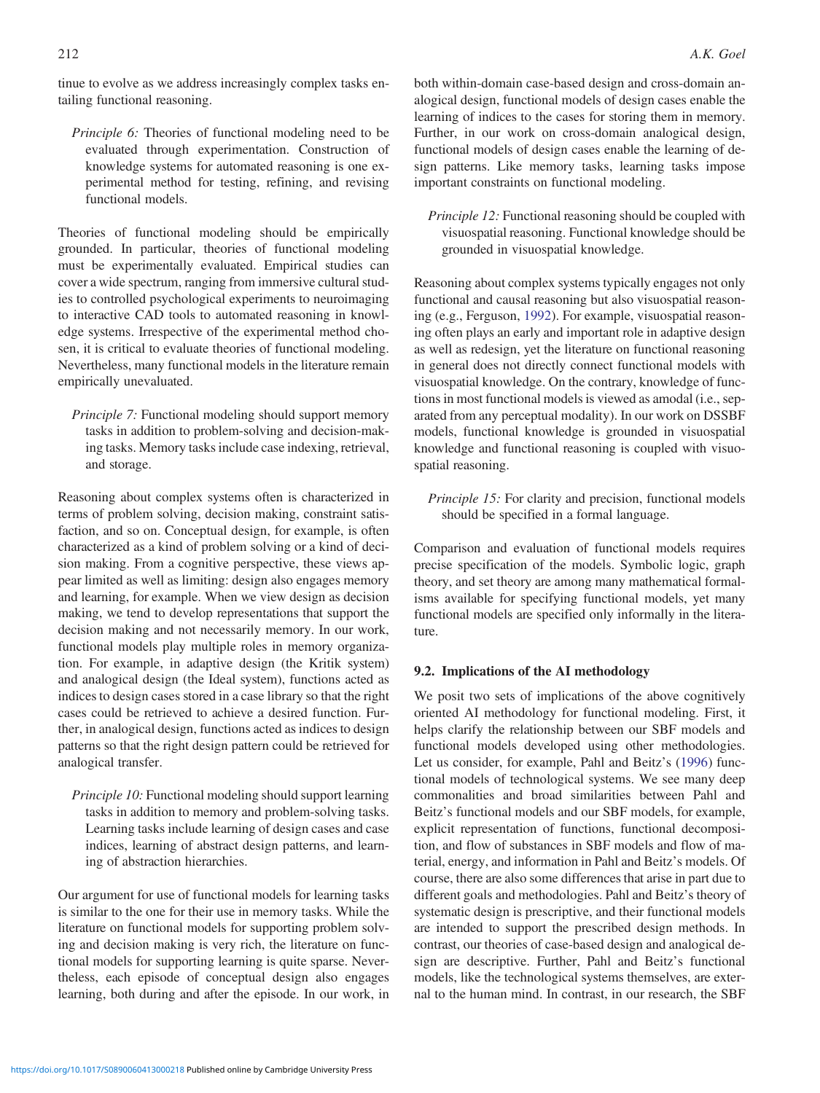tinue to evolve as we address increasingly complex tasks entailing functional reasoning.

Principle 6: Theories of functional modeling need to be evaluated through experimentation. Construction of knowledge systems for automated reasoning is one experimental method for testing, refining, and revising functional models.

Theories of functional modeling should be empirically grounded. In particular, theories of functional modeling must be experimentally evaluated. Empirical studies can cover a wide spectrum, ranging from immersive cultural studies to controlled psychological experiments to neuroimaging to interactive CAD tools to automated reasoning in knowledge systems. Irrespective of the experimental method chosen, it is critical to evaluate theories of functional modeling. Nevertheless, many functional models in the literature remain empirically unevaluated.

Principle 7: Functional modeling should support memory tasks in addition to problem-solving and decision-making tasks. Memory tasks include case indexing, retrieval, and storage.

Reasoning about complex systems often is characterized in terms of problem solving, decision making, constraint satisfaction, and so on. Conceptual design, for example, is often characterized as a kind of problem solving or a kind of decision making. From a cognitive perspective, these views appear limited as well as limiting: design also engages memory and learning, for example. When we view design as decision making, we tend to develop representations that support the decision making and not necessarily memory. In our work, functional models play multiple roles in memory organization. For example, in adaptive design (the Kritik system) and analogical design (the Ideal system), functions acted as indices to design cases stored in a case library so that the right cases could be retrieved to achieve a desired function. Further, in analogical design, functions acted as indices to design patterns so that the right design pattern could be retrieved for analogical transfer.

Principle 10: Functional modeling should support learning tasks in addition to memory and problem-solving tasks. Learning tasks include learning of design cases and case indices, learning of abstract design patterns, and learning of abstraction hierarchies.

Our argument for use of functional models for learning tasks is similar to the one for their use in memory tasks. While the literature on functional models for supporting problem solving and decision making is very rich, the literature on functional models for supporting learning is quite sparse. Nevertheless, each episode of conceptual design also engages learning, both during and after the episode. In our work, in both within-domain case-based design and cross-domain analogical design, functional models of design cases enable the learning of indices to the cases for storing them in memory. Further, in our work on cross-domain analogical design, functional models of design cases enable the learning of design patterns. Like memory tasks, learning tasks impose important constraints on functional modeling.

Principle 12: Functional reasoning should be coupled with visuospatial reasoning. Functional knowledge should be grounded in visuospatial knowledge.

Reasoning about complex systems typically engages not only functional and causal reasoning but also visuospatial reasoning (e.g., Ferguson, [1992](#page-11-0)). For example, visuospatial reasoning often plays an early and important role in adaptive design as well as redesign, yet the literature on functional reasoning in general does not directly connect functional models with visuospatial knowledge. On the contrary, knowledge of functions in most functional models is viewed as amodal (i.e., separated from any perceptual modality). In our work on DSSBF models, functional knowledge is grounded in visuospatial knowledge and functional reasoning is coupled with visuospatial reasoning.

Principle 15: For clarity and precision, functional models should be specified in a formal language.

Comparison and evaluation of functional models requires precise specification of the models. Symbolic logic, graph theory, and set theory are among many mathematical formalisms available for specifying functional models, yet many functional models are specified only informally in the literature.

## 9.2. Implications of the AI methodology

We posit two sets of implications of the above cognitively oriented AI methodology for functional modeling. First, it helps clarify the relationship between our SBF models and functional models developed using other methodologies. Let us consider, for example, Pahl and Beitz's ([1996\)](#page-12-0) functional models of technological systems. We see many deep commonalities and broad similarities between Pahl and Beitz's functional models and our SBF models, for example, explicit representation of functions, functional decomposition, and flow of substances in SBF models and flow of material, energy, and information in Pahl and Beitz's models. Of course, there are also some differences that arise in part due to different goals and methodologies. Pahl and Beitz's theory of systematic design is prescriptive, and their functional models are intended to support the prescribed design methods. In contrast, our theories of case-based design and analogical design are descriptive. Further, Pahl and Beitz's functional models, like the technological systems themselves, are external to the human mind. In contrast, in our research, the SBF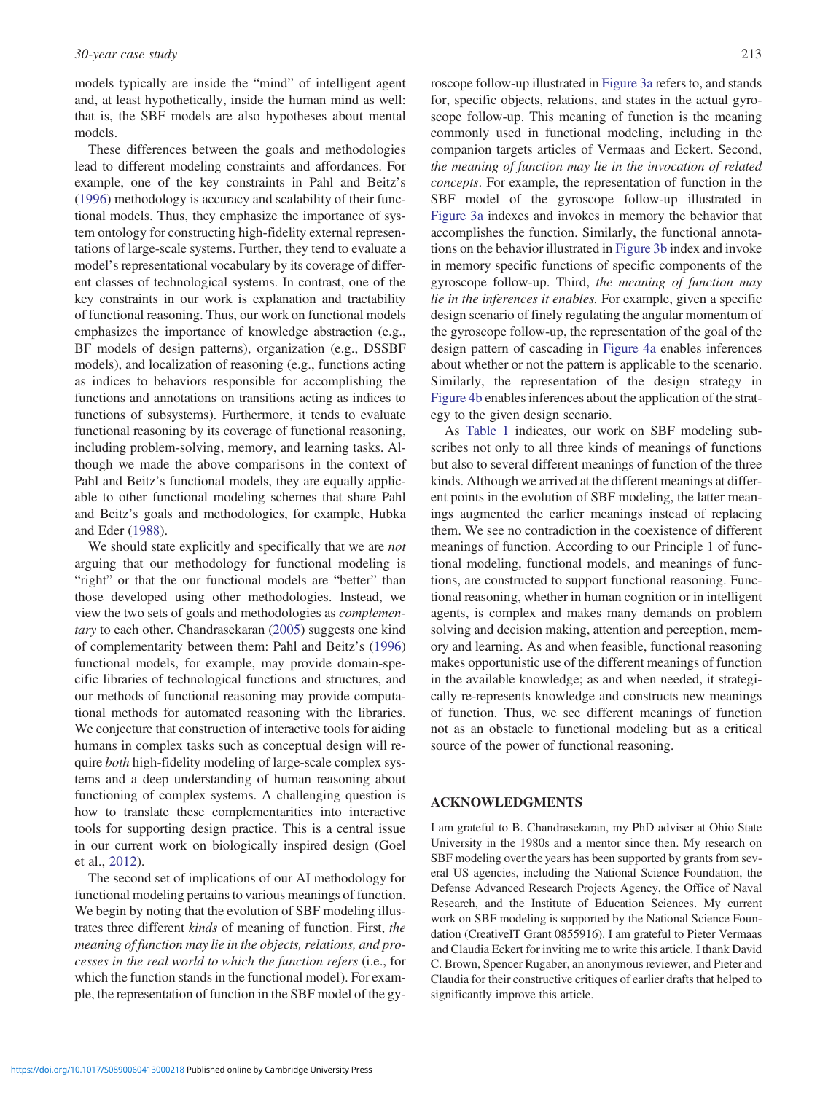models typically are inside the "mind" of intelligent agent and, at least hypothetically, inside the human mind as well: that is, the SBF models are also hypotheses about mental models.

These differences between the goals and methodologies lead to different modeling constraints and affordances. For example, one of the key constraints in Pahl and Beitz's [\(1996](#page-12-0)) methodology is accuracy and scalability of their functional models. Thus, they emphasize the importance of system ontology for constructing high-fidelity external representations of large-scale systems. Further, they tend to evaluate a model's representational vocabulary by its coverage of different classes of technological systems. In contrast, one of the key constraints in our work is explanation and tractability of functional reasoning. Thus, our work on functional models emphasizes the importance of knowledge abstraction (e.g., BF models of design patterns), organization (e.g., DSSBF models), and localization of reasoning (e.g., functions acting as indices to behaviors responsible for accomplishing the functions and annotations on transitions acting as indices to functions of subsystems). Furthermore, it tends to evaluate functional reasoning by its coverage of functional reasoning, including problem-solving, memory, and learning tasks. Although we made the above comparisons in the context of Pahl and Beitz's functional models, they are equally applicable to other functional modeling schemes that share Pahl and Beitz's goals and methodologies, for example, Hubka and Eder ([1988\)](#page-11-0).

We should state explicitly and specifically that we are *not* arguing that our methodology for functional modeling is "right" or that the our functional models are "better" than those developed using other methodologies. Instead, we view the two sets of goals and methodologies as complementary to each other. Chandrasekaran ([2005\)](#page-11-0) suggests one kind of complementarity between them: Pahl and Beitz's ([1996\)](#page-12-0) functional models, for example, may provide domain-specific libraries of technological functions and structures, and our methods of functional reasoning may provide computational methods for automated reasoning with the libraries. We conjecture that construction of interactive tools for aiding humans in complex tasks such as conceptual design will require *both* high-fidelity modeling of large-scale complex systems and a deep understanding of human reasoning about functioning of complex systems. A challenging question is how to translate these complementarities into interactive tools for supporting design practice. This is a central issue in our current work on biologically inspired design (Goel et al., [2012](#page-11-0)).

The second set of implications of our AI methodology for functional modeling pertains to various meanings of function. We begin by noting that the evolution of SBF modeling illustrates three different kinds of meaning of function. First, the meaning of function may lie in the objects, relations, and processes in the real world to which the function refers (i.e., for which the function stands in the functional model). For example, the representation of function in the SBF model of the gyroscope follow-up illustrated in [Figure 3a](#page-4-0) refers to, and stands for, specific objects, relations, and states in the actual gyroscope follow-up. This meaning of function is the meaning commonly used in functional modeling, including in the companion targets articles of Vermaas and Eckert. Second, the meaning of function may lie in the invocation of related concepts. For example, the representation of function in the SBF model of the gyroscope follow-up illustrated in [Figure 3a](#page-4-0) indexes and invokes in memory the behavior that accomplishes the function. Similarly, the functional annotations on the behavior illustrated in [Figure 3b](#page-4-0) index and invoke in memory specific functions of specific components of the gyroscope follow-up. Third, the meaning of function may lie in the inferences it enables. For example, given a specific design scenario of finely regulating the angular momentum of the gyroscope follow-up, the representation of the goal of the design pattern of cascading in [Figure 4a](#page-4-0) enables inferences about whether or not the pattern is applicable to the scenario. Similarly, the representation of the design strategy in [Figure 4b](#page-4-0) enables inferences about the application of the strategy to the given design scenario.

As [Table 1](#page-8-0) indicates, our work on SBF modeling subscribes not only to all three kinds of meanings of functions but also to several different meanings of function of the three kinds. Although we arrived at the different meanings at different points in the evolution of SBF modeling, the latter meanings augmented the earlier meanings instead of replacing them. We see no contradiction in the coexistence of different meanings of function. According to our Principle 1 of functional modeling, functional models, and meanings of functions, are constructed to support functional reasoning. Functional reasoning, whether in human cognition or in intelligent agents, is complex and makes many demands on problem solving and decision making, attention and perception, memory and learning. As and when feasible, functional reasoning makes opportunistic use of the different meanings of function in the available knowledge; as and when needed, it strategically re-represents knowledge and constructs new meanings of function. Thus, we see different meanings of function not as an obstacle to functional modeling but as a critical source of the power of functional reasoning.

## ACKNOWLEDGMENTS

I am grateful to B. Chandrasekaran, my PhD adviser at Ohio State University in the 1980s and a mentor since then. My research on SBF modeling over the years has been supported by grants from several US agencies, including the National Science Foundation, the Defense Advanced Research Projects Agency, the Office of Naval Research, and the Institute of Education Sciences. My current work on SBF modeling is supported by the National Science Foundation (CreativeIT Grant 0855916). I am grateful to Pieter Vermaas and Claudia Eckert for inviting me to write this article. I thank David C. Brown, Spencer Rugaber, an anonymous reviewer, and Pieter and Claudia for their constructive critiques of earlier drafts that helped to significantly improve this article.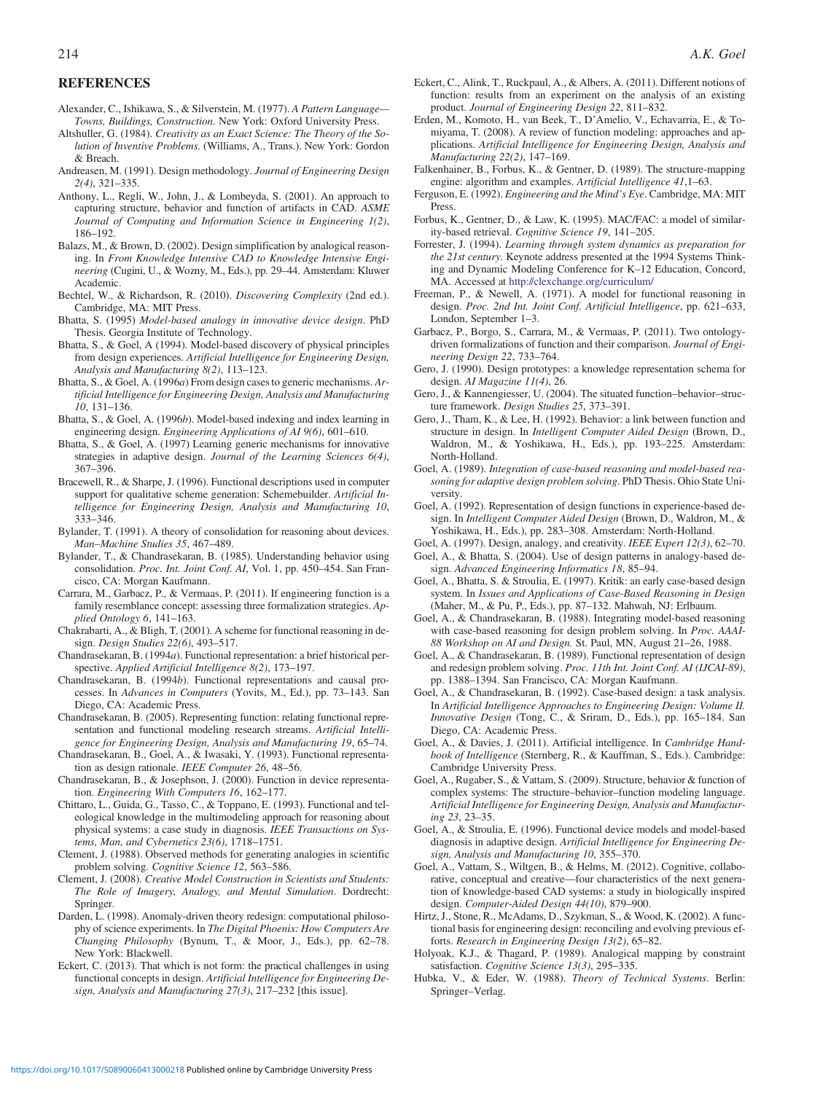## <span id="page-11-0"></span>**REFERENCES**

- Alexander, C., Ishikawa, S., & Silverstein, M. (1977). A Pattern Language— Towns, Buildings, Construction. New York: Oxford University Press.
- Altshuller, G. (1984). Creativity as an Exact Science: The Theory of the Solution of Inventive Problems. (Williams, A., Trans.). New York: Gordon & Breach.
- Andreasen, M. (1991). Design methodology. Journal of Engineering Design 2(4), 321–335.
- Anthony, L., Regli, W., John, J., & Lombeyda, S. (2001). An approach to capturing structure, behavior and function of artifacts in CAD. ASME Journal of Computing and Information Science in Engineering 1(2), 186–192.
- Balazs, M., & Brown, D. (2002). Design simplification by analogical reasoning. In From Knowledge Intensive CAD to Knowledge Intensive Engineering (Cugini, U., & Wozny, M., Eds.), pp. 29–44. Amsterdam: Kluwer Academic.
- Bechtel, W., & Richardson, R. (2010). Discovering Complexity (2nd ed.). Cambridge, MA: MIT Press.
- Bhatta, S. (1995) Model-based analogy in innovative device design. PhD Thesis. Georgia Institute of Technology.
- Bhatta, S., & Goel, A (1994). Model-based discovery of physical principles from design experiences. Artificial Intelligence for Engineering Design, Analysis and Manufacturing 8(2), 113–123.
- Bhatta, S., & Goel, A. (1996a) From design cases to generic mechanisms. Artificial Intelligence for Engineering Design, Analysis and Manufacturing 10, 131–136.
- Bhatta, S., & Goel, A. (1996b). Model-based indexing and index learning in engineering design. Engineering Applications of AI 9(6), 601–610.
- Bhatta, S., & Goel, A. (1997) Learning generic mechanisms for innovative strategies in adaptive design. Journal of the Learning Sciences 6(4), 367–396.
- Bracewell, R., & Sharpe, J. (1996). Functional descriptions used in computer support for qualitative scheme generation: Schemebuilder. Artificial Intelligence for Engineering Design, Analysis and Manufacturing 10, 333–346.
- Bylander, T. (1991). A theory of consolidation for reasoning about devices. Man–Machine Studies 35, 467–489.
- Bylander, T., & Chandrasekaran, B. (1985). Understanding behavior using consolidation. Proc. Int. Joint Conf. AI, Vol. 1, pp. 450–454. San Francisco, CA: Morgan Kaufmann.
- Carrara, M., Garbacz, P., & Vermaas, P. (2011). If engineering function is a family resemblance concept: assessing three formalization strategies. Applied Ontology 6, 141–163.
- Chakrabarti, A., & Bligh, T. (2001). A scheme for functional reasoning in design. Design Studies 22(6), 493–517.
- Chandrasekaran, B. (1994a). Functional representation: a brief historical perspective. Applied Artificial Intelligence 8(2), 173–197.
- Chandrasekaran, B. (1994b). Functional representations and causal processes. In Advances in Computers (Yovits, M., Ed.), pp. 73–143. San Diego, CA: Academic Press.
- Chandrasekaran, B. (2005). Representing function: relating functional representation and functional modeling research streams. Artificial Intelligence for Engineering Design, Analysis and Manufacturing 19, 65–74.
- Chandrasekaran, B., Goel, A., & Iwasaki, Y. (1993). Functional representation as design rationale. IEEE Computer 26, 48–56.
- Chandrasekaran, B., & Josephson, J. (2000). Function in device representation. Engineering With Computers 16, 162–177.
- Chittaro, L., Guida, G., Tasso, C., & Toppano, E. (1993). Functional and teleological knowledge in the multimodeling approach for reasoning about physical systems: a case study in diagnosis. IEEE Transactions on Systems, Man, and Cybernetics 23(6), 1718–1751.
- Clement, J. (1988). Observed methods for generating analogies in scientific problem solving. Cognitive Science 12, 563–586.
- Clement, J. (2008). Creative Model Construction in Scientists and Students: The Role of Imagery, Analogy, and Mental Simulation. Dordrecht: Springer.
- Darden, L. (1998). Anomaly-driven theory redesign: computational philosophy of science experiments. In The Digital Phoenix: How Computers Are Changing Philosophy (Bynum, T., & Moor, J., Eds.), pp. 62–78. New York: Blackwell.
- Eckert, C. (2013). That which is not form: the practical challenges in using functional concepts in design. Artificial Intelligence for Engineering Design, Analysis and Manufacturing 27(3), 217–232 [this issue].
- Eckert, C., Alink, T., Ruckpaul, A., & Albers, A. (2011). Different notions of function: results from an experiment on the analysis of an existing product. Journal of Engineering Design 22, 811–832.
- Erden, M., Komoto, H., van Beek, T., D'Amelio, V., Echavarria, E., & Tomiyama, T. (2008). A review of function modeling: approaches and applications. Artificial Intelligence for Engineering Design, Analysis and Manufacturing 22(2), 147–169.
- Falkenhainer, B., Forbus, K., & Gentner, D. (1989). The structure-mapping engine: algorithm and examples. Artificial Intelligence 41,1–63.
- Ferguson, E. (1992). Engineering and the Mind's Eye. Cambridge, MA: MIT Press.
- Forbus, K., Gentner, D., & Law, K. (1995). MAC/FAC: a model of similarity-based retrieval. Cognitive Science 19, 141–205.
- Forrester, J. (1994). Learning through system dynamics as preparation for the 21st century. Keynote address presented at the 1994 Systems Thinking and Dynamic Modeling Conference for K–12 Education, Concord, MA. Accessed at <http://clexchange.org/curriculum/>
- Freeman, P., & Newell, A. (1971). A model for functional reasoning in design. Proc. 2nd Int. Joint Conf. Artificial Intelligence, pp. 621–633, London, September 1–3.
- Garbacz, P., Borgo, S., Carrara, M., & Vermaas, P. (2011). Two ontologydriven formalizations of function and their comparison. Journal of Engineering Design 22, 733–764.
- Gero, J. (1990). Design prototypes: a knowledge representation schema for design. AI Magazine 11(4), 26.
- Gero, J., & Kannengiesser, U. (2004). The situated function–behavior–structure framework. Design Studies 25, 373–391.
- Gero, J., Tham, K., & Lee, H. (1992). Behavior: a link between function and structure in design. In Intelligent Computer Aided Design (Brown, D., Waldron, M., & Yoshikawa, H., Eds.), pp. 193–225. Amsterdam: North-Holland.
- Goel, A. (1989). Integration of case-based reasoning and model-based reasoning for adaptive design problem solving. PhD Thesis. Ohio State University.
- Goel, A. (1992). Representation of design functions in experience-based design. In Intelligent Computer Aided Design (Brown, D., Waldron, M., & Yoshikawa, H., Eds.), pp. 283–308. Amsterdam: North-Holland.
- Goel, A. (1997). Design, analogy, and creativity. IEEE Expert 12(3), 62-70.
- Goel, A., & Bhatta, S. (2004). Use of design patterns in analogy-based design. Advanced Engineering Informatics 18, 85–94.
- Goel, A., Bhatta, S. & Stroulia, E. (1997). Kritik: an early case-based design system. In Issues and Applications of Case-Based Reasoning in Design (Maher, M., & Pu, P., Eds.), pp. 87–132. Mahwah, NJ: Erlbaum.
- Goel, A., & Chandrasekaran, B. (1988). Integrating model-based reasoning with case-based reasoning for design problem solving. In Proc. AAAI-88 Workshop on AI and Design. St. Paul, MN, August 21–26, 1988.
- Goel, A., & Chandrasekaran, B. (1989). Functional representation of design and redesign problem solving. Proc. 11th Int. Joint Conf. AI (IJCAI-89), pp. 1388–1394. San Francisco, CA: Morgan Kaufmann.
- Goel, A., & Chandrasekaran, B. (1992). Case-based design: a task analysis. In Artificial Intelligence Approaches to Engineering Design: Volume II. Innovative Design (Tong, C., & Sriram, D., Eds.), pp. 165–184. San Diego, CA: Academic Press.
- Goel, A., & Davies, J. (2011). Artificial intelligence. In Cambridge Handbook of Intelligence (Sternberg, R., & Kauffman, S., Eds.). Cambridge: Cambridge University Press.
- Goel, A., Rugaber, S., & Vattam, S. (2009). Structure, behavior & function of complex systems: The structure–behavior–function modeling language. Artificial Intelligence for Engineering Design, Analysis and Manufacturing 23, 23–35.
- Goel, A., & Stroulia, E. (1996). Functional device models and model-based diagnosis in adaptive design. Artificial Intelligence for Engineering Design, Analysis and Manufacturing 10, 355–370.
- Goel, A., Vattam, S., Wiltgen, B., & Helms, M. (2012). Cognitive, collaborative, conceptual and creative—four characteristics of the next generation of knowledge-based CAD systems: a study in biologically inspired design. Computer-Aided Design 44(10), 879–900.
- Hirtz, J., Stone, R., McAdams, D., Szykman, S., & Wood, K. (2002). A functional basis for engineering design: reconciling and evolving previous efforts. Research in Engineering Design 13(2), 65–82.
- Holyoak, K.J., & Thagard, P. (1989). Analogical mapping by constraint satisfaction. Cognitive Science 13(3), 295-335.
- Hubka, V., & Eder, W. (1988). Theory of Technical Systems. Berlin: Springer–Verlag.